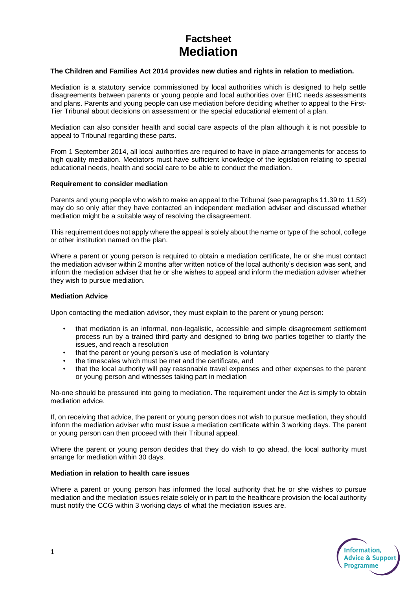# **Factsheet Mediation**

### **The Children and Families Act 2014 provides new duties and rights in relation to mediation.**

Mediation is a statutory service commissioned by local authorities which is designed to help settle disagreements between parents or young people and local authorities over EHC needs assessments and plans. Parents and young people can use mediation before deciding whether to appeal to the First-Tier Tribunal about decisions on assessment or the special educational element of a plan.

Mediation can also consider health and social care aspects of the plan although it is not possible to appeal to Tribunal regarding these parts.

From 1 September 2014, all local authorities are required to have in place arrangements for access to high quality mediation. Mediators must have sufficient knowledge of the legislation relating to special educational needs, health and social care to be able to conduct the mediation.

#### **Requirement to consider mediation**

Parents and young people who wish to make an appeal to the Tribunal (see paragraphs 11.39 to 11.52) may do so only after they have contacted an independent mediation adviser and discussed whether mediation might be a suitable way of resolving the disagreement.

This requirement does not apply where the appeal is solely about the name or type of the school, college or other institution named on the plan.

Where a parent or young person is required to obtain a mediation certificate, he or she must contact the mediation adviser within 2 months after written notice of the local authority's decision was sent, and inform the mediation adviser that he or she wishes to appeal and inform the mediation adviser whether they wish to pursue mediation.

#### **Mediation Advice**

Upon contacting the mediation advisor, they must explain to the parent or young person:

- that mediation is an informal, non-legalistic, accessible and simple disagreement settlement process run by a trained third party and designed to bring two parties together to clarify the issues, and reach a resolution
- that the parent or young person's use of mediation is voluntary
- the timescales which must be met and the certificate, and
- that the local authority will pay reasonable travel expenses and other expenses to the parent or young person and witnesses taking part in mediation

No-one should be pressured into going to mediation. The requirement under the Act is simply to obtain mediation advice.

If, on receiving that advice, the parent or young person does not wish to pursue mediation, they should inform the mediation adviser who must issue a mediation certificate within 3 working days. The parent or young person can then proceed with their Tribunal appeal.

Where the parent or young person decides that they do wish to go ahead, the local authority must arrange for mediation within 30 days.

#### **Mediation in relation to health care issues**

Where a parent or young person has informed the local authority that he or she wishes to pursue mediation and the mediation issues relate solely or in part to the healthcare provision the local authority must notify the CCG within 3 working days of what the mediation issues are.